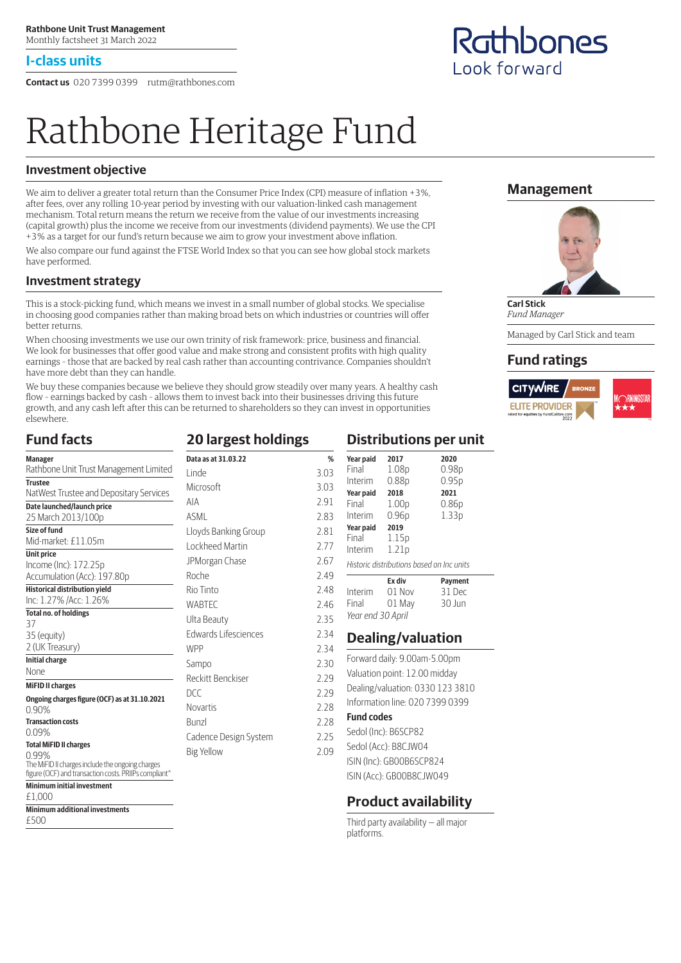#### **I-class units**

**Contact us** 020 7399 0399 rutm@rathbones.com

# Rathbone Heritage Fund

#### **Investment objective**

We aim to deliver a greater total return than the Consumer Price Index (CPI) measure of inflation +3%, after fees, over any rolling 10-year period by investing with our valuation-linked cash management mechanism. Total return means the return we receive from the value of our investments increasing (capital growth) plus the income we receive from our investments (dividend payments). We use the CPI +3% as a target for our fund's return because we aim to grow your investment above inflation.

We also compare our fund against the FTSE World Index so that you can see how global stock markets have performed.

#### **Investment strategy**

This is a stock-picking fund, which means we invest in a small number of global stocks. We specialise in choosing good companies rather than making broad bets on which industries or countries will offer better returns.

When choosing investments we use our own trinity of risk framework: price, business and financial. We look for businesses that offer good value and make strong and consistent profits with high quality earnings – those that are backed by real cash rather than accounting contrivance. Companies shouldn't have more debt than they can handle.

We buy these companies because we believe they should grow steadily over many years. A healthy cash flow – earnings backed by cash – allows them to invest back into their businesses driving this future growth, and any cash left after this can be returned to shareholders so they can invest in opportunities elsewhere.

#### **Fund facts**

**Minimum additional investments**

£500

| <b>Manager</b>                                                                                            | Data as at 31.03.22   | %    |
|-----------------------------------------------------------------------------------------------------------|-----------------------|------|
| Rathbone Unit Trust Management Limited                                                                    | l inde                | 3.03 |
| <b>Trustee</b>                                                                                            | Microsoft             | 3.03 |
| NatWest Trustee and Depositary Services                                                                   | <b>AIA</b>            | 2.91 |
| Date launched/launch price                                                                                | ASMI                  |      |
| 25 March 2013/100p                                                                                        |                       | 2.83 |
| Size of fund                                                                                              | Lloyds Banking Group  | 2.81 |
| Mid-market: £11.05m                                                                                       | Lockheed Martin       | 2.77 |
| <b>Unit price</b><br>Income (Inc): 172.25p                                                                | JPMorgan Chase        | 2.67 |
| Accumulation (Acc): 197.80p                                                                               | Roche                 | 2.49 |
| <b>Historical distribution yield</b>                                                                      | Rio Tinto             | 2.48 |
| Inc: 1.27% / Acc: 1.26%                                                                                   | <b>WABTEC</b>         | 2.46 |
| <b>Total no. of holdings</b>                                                                              |                       |      |
| 37                                                                                                        | Ulta Beauty           | 2.35 |
| 35 (equity)                                                                                               | Edwards Lifesciences  | 2.34 |
| 2 (UK Treasury)                                                                                           | <b>WPP</b>            | 2.34 |
| <b>Initial charge</b>                                                                                     | Sampo                 | 2.30 |
| <b>None</b>                                                                                               | Reckitt Benckiser     | 2.29 |
| <b>MiFID II charges</b>                                                                                   |                       |      |
| Ongoing charges figure (OCF) as at 31.10.2021                                                             | DCC.                  | 2.29 |
| 0.90%                                                                                                     | <b>Novartis</b>       | 2.28 |
| <b>Transaction costs</b>                                                                                  | <b>Bunzl</b>          | 2.28 |
| 0.09%                                                                                                     | Cadence Design System | 2.25 |
| <b>Total MiFID II charges</b>                                                                             |                       | 2.09 |
| 0.99%                                                                                                     | <b>Big Yellow</b>     |      |
| The MiFID II charges include the ongoing charges<br>figure (OCF) and transaction costs. PRIIPs compliant^ |                       |      |
| <b>Minimum initial investment</b>                                                                         |                       |      |
| £1.000                                                                                                    |                       |      |

# **20 largest holdings**

| Linde                 | 3.03 |
|-----------------------|------|
| Microsoft             | 3.03 |
| AIA                   | 2.91 |
| ASML                  | 2.83 |
| Lloyds Banking Group  | 2.81 |
| Lockheed Martin       | 2.77 |
| JPMorgan Chase        | 2.67 |
| Roche                 | 2.49 |
| Rio Tinto             | 2.48 |
| WABTEC                | 2.46 |
| Ulta Beauty           | 2.35 |
| Edwards Lifesciences  | 2.34 |
| <b>WPP</b>            | 2.34 |
| Sampo                 | 2.30 |
| Reckitt Benckiser     | 2.29 |
| DCC                   | 2.29 |
| Novartis              | 2.28 |
| Bunzl                 | 2.28 |
| Cadence Design System | 2.25 |
| <b>Big Yellow</b>     | 2.09 |
|                       |      |
|                       |      |

#### **Distributions per unit**

| Year paid<br>Final                       | 2017<br>1.08p     | 2020<br>0.98 <sub>p</sub> |  |  |
|------------------------------------------|-------------------|---------------------------|--|--|
| Interim                                  | 0.88p             | 0.95p                     |  |  |
| Year paid                                | 2018              | 2021                      |  |  |
| Final                                    | 1.00 <sub>p</sub> | 0.86 <sub>p</sub>         |  |  |
| Interim                                  | 0.96 <sub>p</sub> | 1.33 <sub>p</sub>         |  |  |
| Year paid                                | 2019              |                           |  |  |
| Final                                    | 1.15p             |                           |  |  |
| Interim                                  | 1.21p             |                           |  |  |
| Historic distributions based on Incunits |                   |                           |  |  |
|                                          | Ex div            | Payment                   |  |  |
| Interim                                  | 01 Nov            | 31 Dec                    |  |  |
| Final                                    | 01 May            | 30 Jun                    |  |  |
| Year end 30 April                        |                   |                           |  |  |

#### **Dealing/valuation**

- Forward daily: 9.00am-5.00pm Valuation point: 12.00 midday Dealing/valuation: 0330 123 3810 Information line: 020 7399 0399 **Fund codes**
- Sedol (Inc): B6SCP82

Sedol (Acc): B8CJW04 ISIN (Inc): GB00B6SCP824 ISIN (Acc): GB00B8CJW049

#### **Product availability**

Third party availability — all major platforms.

#### **Management**



**Carl Stick** *Fund Manager* Managed by Carl Stick and team

#### **Fund ratings**